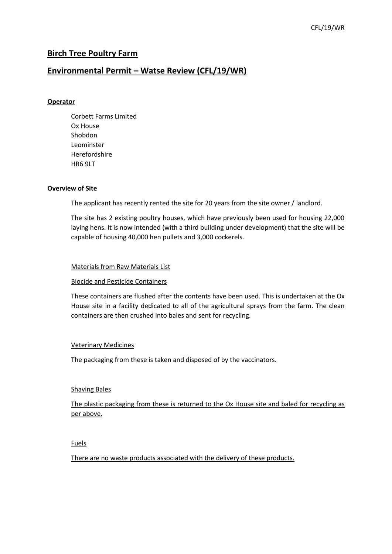# **Birch Tree Poultry Farm**

# **Environmental Permit – Watse Review (CFL/19/WR)**

### **Operator**

Corbett Farms Limited Ox House Shobdon Leominster Herefordshire HR6 9LT

#### **Overview of Site**

The applicant has recently rented the site for 20 years from the site owner / landlord.

The site has 2 existing poultry houses, which have previously been used for housing 22,000 laying hens. It is now intended (with a third building under development) that the site will be capable of housing 40,000 hen pullets and 3,000 cockerels.

### Materials from Raw Materials List

#### Biocide and Pesticide Containers

These containers are flushed after the contents have been used. This is undertaken at the Ox House site in a facility dedicated to all of the agricultural sprays from the farm. The clean containers are then crushed into bales and sent for recycling.

#### Veterinary Medicines

The packaging from these is taken and disposed of by the vaccinators.

#### Shaving Bales

The plastic packaging from these is returned to the Ox House site and baled for recycling as per above.

#### Fuels

There are no waste products associated with the delivery of these products.